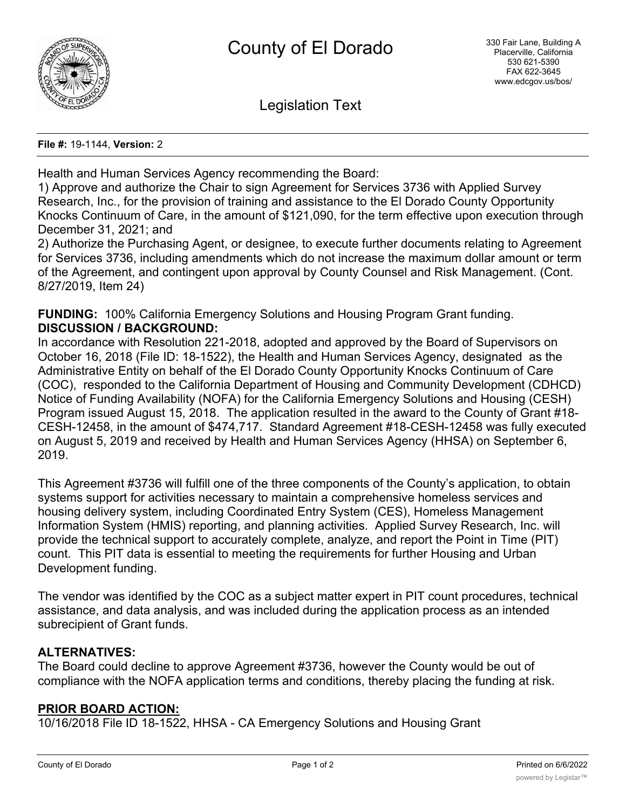

Legislation Text

**File #:** 19-1144, **Version:** 2

Health and Human Services Agency recommending the Board:

1) Approve and authorize the Chair to sign Agreement for Services 3736 with Applied Survey Research, Inc., for the provision of training and assistance to the El Dorado County Opportunity Knocks Continuum of Care, in the amount of \$121,090, for the term effective upon execution through December 31, 2021; and

2) Authorize the Purchasing Agent, or designee, to execute further documents relating to Agreement for Services 3736, including amendments which do not increase the maximum dollar amount or term of the Agreement, and contingent upon approval by County Counsel and Risk Management. (Cont. 8/27/2019, Item 24)

**FUNDING:** 100% California Emergency Solutions and Housing Program Grant funding. **DISCUSSION / BACKGROUND:**

In accordance with Resolution 221-2018, adopted and approved by the Board of Supervisors on October 16, 2018 (File ID: 18-1522), the Health and Human Services Agency, designated as the Administrative Entity on behalf of the El Dorado County Opportunity Knocks Continuum of Care (COC), responded to the California Department of Housing and Community Development (CDHCD) Notice of Funding Availability (NOFA) for the California Emergency Solutions and Housing (CESH) Program issued August 15, 2018. The application resulted in the award to the County of Grant #18- CESH-12458, in the amount of \$474,717. Standard Agreement #18-CESH-12458 was fully executed on August 5, 2019 and received by Health and Human Services Agency (HHSA) on September 6, 2019.

This Agreement #3736 will fulfill one of the three components of the County's application, to obtain systems support for activities necessary to maintain a comprehensive homeless services and housing delivery system, including Coordinated Entry System (CES), Homeless Management Information System (HMIS) reporting, and planning activities. Applied Survey Research, Inc. will provide the technical support to accurately complete, analyze, and report the Point in Time (PIT) count. This PIT data is essential to meeting the requirements for further Housing and Urban Development funding.

The vendor was identified by the COC as a subject matter expert in PIT count procedures, technical assistance, and data analysis, and was included during the application process as an intended subrecipient of Grant funds.

### **ALTERNATIVES:**

The Board could decline to approve Agreement #3736, however the County would be out of compliance with the NOFA application terms and conditions, thereby placing the funding at risk.

### **PRIOR BOARD ACTION:**

10/16/2018 File ID 18-1522, HHSA - CA Emergency Solutions and Housing Grant